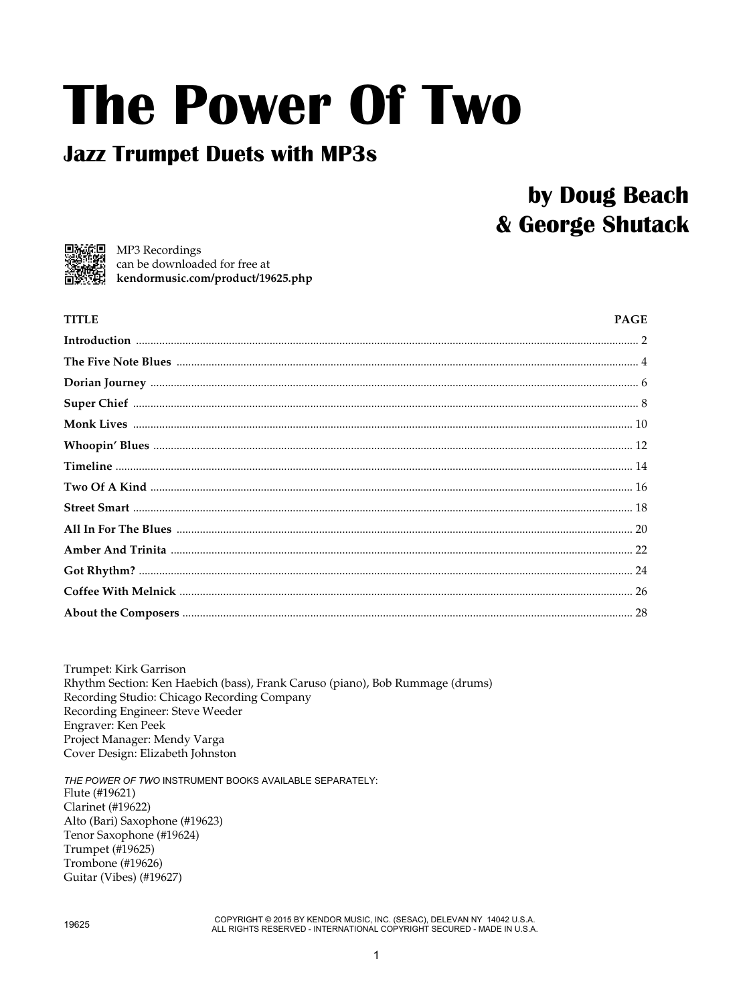# **The Power Of Two**

#### **Jazz Trumpet Duets with MP3s**

### by Doug Beach & George Shutack



**TITLE** 

回流信回 MP3 Recordings can be downloaded for free at kendormusic.com/product/19625.php

#### **PAGE**

Trumpet: Kirk Garrison Rhythm Section: Ken Haebich (bass), Frank Caruso (piano), Bob Rummage (drums) Recording Studio: Chicago Recording Company Recording Engineer: Steve Weeder Engraver: Ken Peek Project Manager: Mendy Varga Cover Design: Elizabeth Johnston

THE POWER OF TWO INSTRUMENT BOOKS AVAILABLE SEPARATELY: Flute (#19621) **Clarinet** (#19622) Alto (Bari) Saxophone (#19623) Tenor Saxophone (#19624) Trumpet (#19625) Trombone (#19626) Guitar (Vibes) (#19627)

COPYRIGHT © 2015 BY KENDOR MUSIC, INC. (SESAC), DELEVAN NY 14042 U.S.A. ALL RIGHTS RESERVED - INTERNATIONAL COPYRIGHT SECURED - MADE IN U.S.A.